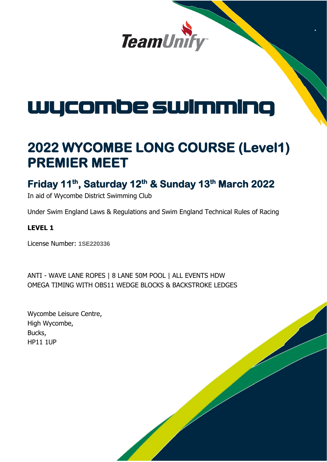

# wycombe swimming

## **2022 WYCOMBE LONG COURSE (Level1) PREMIER MEET**

## **Friday 11th, Saturday 12th & Sunday 13th March 2022**

In aid of Wycombe District Swimming Club

Under Swim England Laws & Regulations and Swim England Technical Rules of Racing

#### **LEVEL 1**

License Number: **1SE220336**

ANTI - WAVE LANE ROPES | 8 LANE 50M POOL | ALL EVENTS HDW OMEGA TIMING WITH OBS11 WEDGE BLOCKS & BACKSTROKE LEDGES

| Wycombe Leisure Centre, |
|-------------------------|
| High Wycombe,           |
| Bucks,                  |
| <b>HP11 1UP</b>         |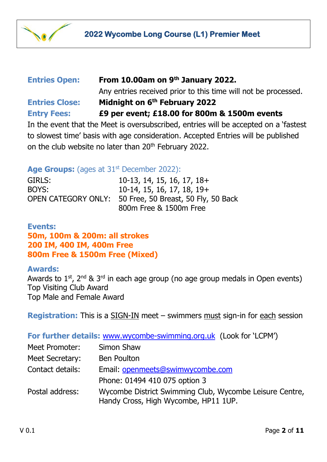

## **Entries Open: From 10.00am on 9 th January 2022.**

Any entries received prior to this time will not be processed. **Entries Close: Midnight on 6 th February 2022 Entry Fees: £9 per event; £18.00 for 800m & 1500m events**

In the event that the Meet is oversubscribed, entries will be accepted on a 'fastest to slowest time' basis with age consideration. Accepted Entries will be published on the club website no later than  $20<sup>th</sup>$  February 2022.

#### Age Groups: (ages at 31<sup>st</sup> December 2022):

GIRLS: 10-13, 14, 15, 16, 17, 18+ BOYS: 10-14, 15, 16, 17, 18, 19+ OPEN CATEGORY ONLY: 50 Free, 50 Breast, 50 Fly, 50 Back 800m Free & 1500m Free

### **Events:**

**50m, 100m & 200m: all strokes 200 IM, 400 IM, 400m Free 800m Free & 1500m Free (Mixed)**

#### **Awards:**

Awards to  $1^{st}$ ,  $2^{nd}$  &  $3^{rd}$  in each age group (no age group medals in Open events) Top Visiting Club Award Top Male and Female Award

**Registration:** This is a SIGN-IN meet – swimmers must sign-in for each session

#### **For further details:** [www.wycombe-swimming.org.uk](http://www.wycombe-swimming.org.uk/) (Look for 'LCPM')

| Meet Promoter:   | Simon Shaw                                                                                      |
|------------------|-------------------------------------------------------------------------------------------------|
| Meet Secretary:  | <b>Ben Poulton</b>                                                                              |
| Contact details: | Email: openmeets@swimwycombe.com                                                                |
|                  | Phone: 01494 410 075 option 3                                                                   |
| Postal address:  | Wycombe District Swimming Club, Wycombe Leisure Centre,<br>Handy Cross, High Wycombe, HP11 1UP. |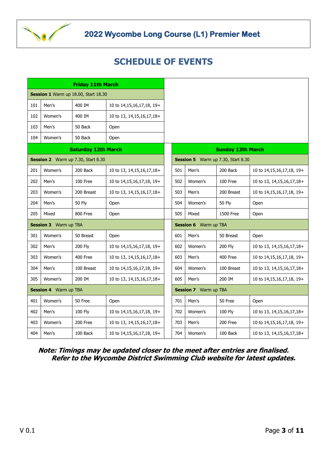

## **2022 Wycombe Long Course (L1) Premier Meet**

## **SCHEDULE OF EVENTS**

| <b>Friday 11th March</b>             |         |               |                               |                                    |                          |         |                  |                               |  |  |
|--------------------------------------|---------|---------------|-------------------------------|------------------------------------|--------------------------|---------|------------------|-------------------------------|--|--|
| Session 1 Warm up 18.00, Start 18.30 |         |               |                               |                                    |                          |         |                  |                               |  |  |
| 101                                  | Men's   | 400 IM        | 10 to 14,15,16,17,18, 19+     |                                    |                          |         |                  |                               |  |  |
| 102                                  | Women's | 400 IM        | 10 to 13, 14, 15, 16, 17, 18+ |                                    |                          |         |                  |                               |  |  |
| 103                                  | Men's   | 50 Back       | Open                          |                                    |                          |         |                  |                               |  |  |
| 104                                  | Women's | 50 Back       | Open                          |                                    |                          |         |                  |                               |  |  |
| <b>Saturday 12th March</b>           |         |               |                               |                                    | <b>Sunday 13th March</b> |         |                  |                               |  |  |
| Session 2 Warm up 7.30, Start 8.30   |         |               |                               | Session 5 Warm up 7.30, Start 8.30 |                          |         |                  |                               |  |  |
| 201                                  | Women's | 200 Back      | 10 to 13, 14, 15, 16, 17, 18+ |                                    | 501                      | Men's   | 200 Back         | 10 to 14,15,16,17,18, 19+     |  |  |
| 202                                  | Men's   | 100 Free      | 10 to 14,15,16,17,18, 19+     |                                    | 502                      | Women's | 100 Free         | 10 to 13, 14, 15, 16, 17, 18+ |  |  |
| 203                                  | Women's | 200 Breast    | 10 to 13, 14, 15, 16, 17, 18+ |                                    | 503                      | Men's   | 200 Breast       | 10 to 14,15,16,17,18, 19+     |  |  |
| 204                                  | Men's   | <b>50 Fly</b> | Open                          |                                    | 504                      | Women's | <b>50 Fly</b>    | Open                          |  |  |
| 205                                  | Mixed   | 800 Free      | Open                          |                                    | 505                      | Mixed   | <b>1500 Free</b> | Open                          |  |  |
| <b>Session 3</b> Warm up TBA         |         |               |                               | <b>Session 6</b> Warm up TBA       |                          |         |                  |                               |  |  |
| 301                                  | Women's | 50 Breast     | Open                          |                                    | 601                      | Men's   | 50 Breast        | Open                          |  |  |
| 302                                  | Men's   | 200 Fly       | 10 to 14,15,16,17,18, 19+     |                                    | 602                      | Women's | 200 Fly          | 10 to 13, 14, 15, 16, 17, 18+ |  |  |
| 303                                  | Women's | 400 Free      | 10 to 13, 14, 15, 16, 17, 18+ |                                    | 603                      | Men's   | 400 Free         | 10 to 14,15,16,17,18, 19+     |  |  |
| 304                                  | Men's   | 100 Breast    | 10 to 14,15,16,17,18, 19+     |                                    | 604                      | Women's | 100 Breast       | 10 to 13, 14, 15, 16, 17, 18+ |  |  |
| 305                                  | Women's | 200 IM        | 10 to 13, 14, 15, 16, 17, 18+ |                                    | 605                      | Men's   | 200 IM           | 10 to 14,15,16,17,18, 19+     |  |  |
| <b>Session 4</b> Warm up TBA         |         |               |                               | <b>Session 7</b> Warm up TBA       |                          |         |                  |                               |  |  |
| 401                                  | Women's | 50 Free       | Open                          |                                    | 701                      | Men's   | 50 Free          | Open                          |  |  |
| 402                                  | Men's   | 100 Fly       | 10 to 14,15,16,17,18, 19+     |                                    | 702                      | Women's | <b>100 Fly</b>   | 10 to 13, 14, 15, 16, 17, 18+ |  |  |
| 403                                  | Women's | 200 Free      | 10 to 13, 14, 15, 16, 17, 18+ |                                    | 703                      | Men's   | 200 Free         | 10 to 14,15,16,17,18, 19+     |  |  |
| 404                                  | Men's   | 100 Back      | 10 to 14,15,16,17,18, 19+     |                                    | 704                      | Women's | 100 Back         | 10 to 13, 14, 15, 16, 17, 18+ |  |  |

**Note: Timings may be updated closer to the meet after entries are finalised. Refer to the Wycombe District Swimming Club website for latest updates.**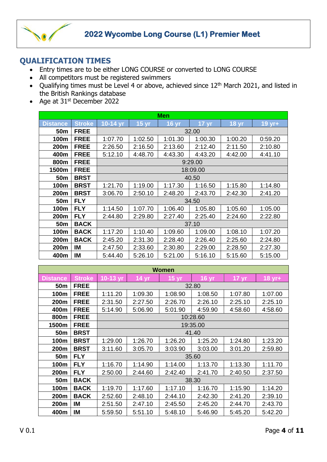

#### **QUALIFICATION TIMES**

- Entry times are to be either LONG COURSE or converted to LONG COURSE
- All competitors must be registered swimmers
- Qualifying times must be Level 4 or above, achieved since 12<sup>th</sup> March 2021, and listed in the British Rankings database
- Age at  $31<sup>st</sup>$  December 2022

| <b>Men</b>      |               |            |                 |              |                 |                 |         |  |  |  |
|-----------------|---------------|------------|-----------------|--------------|-----------------|-----------------|---------|--|--|--|
| <b>Distance</b> | <b>Stroke</b> | 10-14 $yr$ | $15 \text{ yr}$ | <b>16 yr</b> | $17 \text{ yr}$ | $18 \text{ yr}$ | 19 yr+  |  |  |  |
| 50 <sub>m</sub> | <b>FREE</b>   | 32.00      |                 |              |                 |                 |         |  |  |  |
| 100m            | <b>FREE</b>   | 1:07.70    | 1:02.50         | 1:01.30      | 1:00.30         | 1:00.20         | 0:59.20 |  |  |  |
| 200m            | <b>FREE</b>   | 2:26.50    | 2:16.50         | 2:13.60      | 2:12.40         | 2:11.50         | 2:10.80 |  |  |  |
| 400m            | <b>FREE</b>   | 5:12.10    | 4:48.70         | 4:43.30      | 4:43.20         | 4:42.00         | 4:41.10 |  |  |  |
| 800m            | <b>FREE</b>   | 9:29.00    |                 |              |                 |                 |         |  |  |  |
| 1500m           | <b>FREE</b>   |            | 18:09.00        |              |                 |                 |         |  |  |  |
| 50m             | <b>BRST</b>   | 40.50      |                 |              |                 |                 |         |  |  |  |
| 100m            | <b>BRST</b>   | 1:21.70    | 1:19.00         | 1:17.30      | 1:16.50         | 1:15.80         | 1:14.80 |  |  |  |
| 200m            | <b>BRST</b>   | 3:06.70    | 2:50.10         | 2:48.20      | 2:43.70         | 2:42.30         | 2:41.20 |  |  |  |
| 50m             | <b>FLY</b>    | 34.50      |                 |              |                 |                 |         |  |  |  |
| 100m            | <b>FLY</b>    | 1:14.50    | 1:07.70         | 1:06.40      | 1:05.80         | 1:05.60         | 1:05.00 |  |  |  |
| 200m            | <b>FLY</b>    | 2:44.80    | 2:29.80         | 2:27.40      | 2:25.40         | 2:24.60         | 2:22.80 |  |  |  |
| 50 <sub>m</sub> | <b>BACK</b>   | 37.10      |                 |              |                 |                 |         |  |  |  |
| 100m            | <b>BACK</b>   | 1:17.20    | 1:10.40         | 1:09.60      | 1:09.00         | 1:08.10         | 1:07.20 |  |  |  |
| 200m            | <b>BACK</b>   | 2:45.20    | 2:31.30         | 2:28.40      | 2:26.40         | 2:25.60         | 2:24.80 |  |  |  |
| 200m            | IM            | 2:47.50    | 2:33.60         | 2:30.80      | 2:29.00         | 2:28.50         | 2:27.30 |  |  |  |
| 400m            | IM            | 5:44.40    | 5:26.10         | 5:21.00      | 5:16.10         | 5:15.60         | 5:15.00 |  |  |  |

| <b>Women</b>    |               |          |                 |                  |                 |                 |                    |  |  |  |
|-----------------|---------------|----------|-----------------|------------------|-----------------|-----------------|--------------------|--|--|--|
| <b>Distance</b> | <b>Stroke</b> | 10-13 yr | $14 \text{ yr}$ | 15 <sub>yr</sub> | $16 \text{ yr}$ | $17 \text{ yr}$ | $18 \,\text{yr}$ + |  |  |  |
| 50 <sub>m</sub> | <b>FREE</b>   | 32.80    |                 |                  |                 |                 |                    |  |  |  |
| 100m            | <b>FREE</b>   | 1:11.20  | 1:09.30         | 1:08.90          | 1:08.50         | 1:07.80         | 1:07.00            |  |  |  |
| 200m            | <b>FREE</b>   | 2:31.50  | 2:27.50         | 2:26.70          | 2:26.10         | 2:25.10         | 2:25.10            |  |  |  |
| 400m            | <b>FREE</b>   | 5:14.90  | 5:06.90         | 5:01.90          | 4:59.90         | 4:58.60         | 4:58.60            |  |  |  |
| 800m            | <b>FREE</b>   | 10:28.60 |                 |                  |                 |                 |                    |  |  |  |
| 1500m           | <b>FREE</b>   | 19:35.00 |                 |                  |                 |                 |                    |  |  |  |
| 50 <sub>m</sub> | <b>BRST</b>   | 41.40    |                 |                  |                 |                 |                    |  |  |  |
| 100m            | <b>BRST</b>   | 1:29.00  | 1:26.70         | 1:26.20          | 1:25.20         | 1:24.80         | 1:23.20            |  |  |  |
| 200m            | <b>BRST</b>   | 3:11.60  | 3:05.70         | 3:03.90          | 3:03.00         | 3:01.20         | 2:59.80            |  |  |  |
| 50 <sub>m</sub> | <b>FLY</b>    | 35.60    |                 |                  |                 |                 |                    |  |  |  |
| 100m            | <b>FLY</b>    | 1:16.70  | 1:14.90         | 1:14.00          | 1:13.70         | 1:13.30         | 1:11.70            |  |  |  |
| 200m            | <b>FLY</b>    | 2:50.00  | 2:44.60         | 2:42.40          | 2:41.70         | 2:40.50         | 2:37.50            |  |  |  |
| 50 <sub>m</sub> | <b>BACK</b>   | 38.30    |                 |                  |                 |                 |                    |  |  |  |
| 100m            | <b>BACK</b>   | 1:19.70  | 1:17.60         | 1:17.10          | 1:16.70         | 1:15.90         | 1:14.20            |  |  |  |
| 200m            | <b>BACK</b>   | 2:52.60  | 2:48.10         | 2:44.10          | 2:42.30         | 2:41.20         | 2:39.10            |  |  |  |
| 200m            | IM            | 2:51.50  | 2:47.10         | 2:45.50          | 2:45.20         | 2:44.70         | 2:43.70            |  |  |  |
| 400m            | IM            | 5:59.50  | 5:51.10         | 5:48.10          | 5:46.90         | 5:45.20         | 5:42.20            |  |  |  |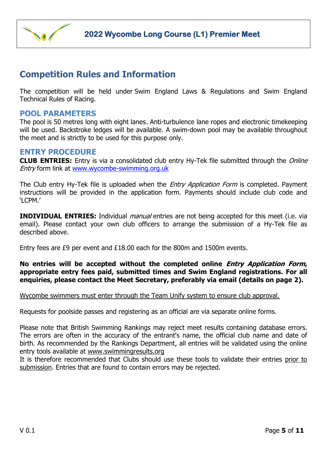

## **Competition Rules and Information**

The competition will be held under Swim England Laws & Regulations and Swim England Technical Rules of Racing.

#### **POOL PARAMETERS**

The pool is 50 metres long with eight lanes. Anti-turbulence lane ropes and electronic timekeeping will be used. Backstroke ledges will be available. A swim-down pool may be available throughout the meet and is strictly to be used for this purpose only.

#### **ENTRY PROCEDURE**

**CLUB ENTRIES:** Entry is via a consolidated club entry Hy-Tek file submitted through the *Online* Entry form link at [www.wycombe-swimming.org.uk](http://www.wycombe-swimming.org.uk/)

The Club entry Hy-Tek file is uploaded when the *Entry Application Form* is completed. Payment instructions will be provided in the application form. Payments should include club code and 'LCPM.'

**INDIVIDUAL ENTRIES:** Individual *manual* entries are not being accepted for this meet (i.e. via email). Please contact your own club officers to arrange the submission of a Hy-Tek file as described above.

Entry fees are £9 per event and £18.00 each for the 800m and 1500m events.

#### **No entries will be accepted without the completed online Entry Application Form, appropriate entry fees paid, submitted times and Swim England registrations. For all enquiries, please contact the Meet Secretary, preferably via email (details on page 2).**

Wycombe swimmers must enter through the Team Unify system to ensure club approval.

Requests for poolside passes and registering as an official are via separate online forms.

Please note that British Swimming Rankings may reject meet results containing database errors. The errors are often in the accuracy of the entrant's name, the official club name and date of birth. As recommended by the Rankings Department, all entries will be validated using the online entry tools available at [www.swimmingresults.org](http://www.swimmingresults.org/)

It is therefore recommended that Clubs should use these tools to validate their entries prior to submission. Entries that are found to contain errors may be rejected.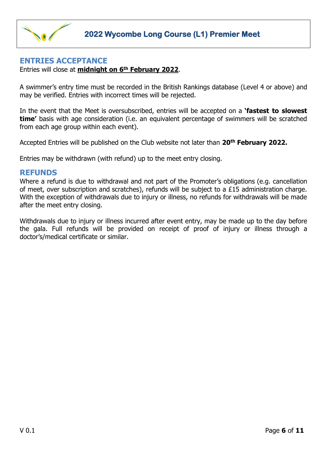

#### **ENTRIES ACCEPTANCE**

Entries will close at **midnight on 6th February 2022**.

A swimmer's entry time must be recorded in the British Rankings database (Level 4 or above) and may be verified. Entries with incorrect times will be rejected.

In the event that the Meet is oversubscribed, entries will be accepted on a **'fastest to slowest time'** basis with age consideration (i.e. an equivalent percentage of swimmers will be scratched from each age group within each event).

Accepted Entries will be published on the Club website not later than **20 th February 2022.**

Entries may be withdrawn (with refund) up to the meet entry closing.

#### **REFUNDS**

Where a refund is due to withdrawal and not part of the Promoter's obligations (e.g. cancellation of meet, over subscription and scratches), refunds will be subject to a £15 administration charge. With the exception of withdrawals due to injury or illness, no refunds for withdrawals will be made after the meet entry closing.

Withdrawals due to injury or illness incurred after event entry, may be made up to the day before the gala. Full refunds will be provided on receipt of proof of injury or illness through a doctor's/medical certificate or similar.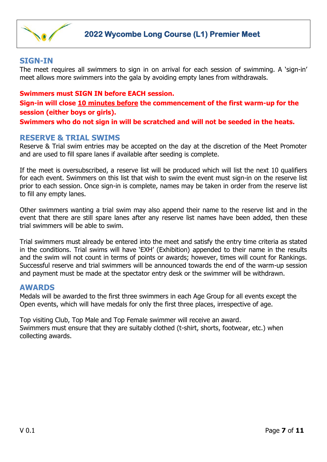

#### **SIGN-IN**

The meet requires all swimmers to sign in on arrival for each session of swimming. A 'sign-in' meet allows more swimmers into the gala by avoiding empty lanes from withdrawals.

#### **Swimmers must SIGN IN before EACH session.**

**Sign-in will close 10 minutes before the commencement of the first warm-up for the session (either boys or girls).**

**Swimmers who do not sign in will be scratched and will not be seeded in the heats.**

#### **RESERVE & TRIAL SWIMS**

Reserve & Trial swim entries may be accepted on the day at the discretion of the Meet Promoter and are used to fill spare lanes if available after seeding is complete.

If the meet is oversubscribed, a reserve list will be produced which will list the next 10 qualifiers for each event. Swimmers on this list that wish to swim the event must sign-in on the reserve list prior to each session. Once sign-in is complete, names may be taken in order from the reserve list to fill any empty lanes.

Other swimmers wanting a trial swim may also append their name to the reserve list and in the event that there are still spare lanes after any reserve list names have been added, then these trial swimmers will be able to swim.

Trial swimmers must already be entered into the meet and satisfy the entry time criteria as stated in the conditions. Trial swims will have 'EXH' (Exhibition) appended to their name in the results and the swim will not count in terms of points or awards; however, times will count for Rankings. Successful reserve and trial swimmers will be announced towards the end of the warm-up session and payment must be made at the spectator entry desk or the swimmer will be withdrawn.

#### **AWARDS**

Medals will be awarded to the first three swimmers in each Age Group for all events except the Open events, which will have medals for only the first three places, irrespective of age.

Top visiting Club, Top Male and Top Female swimmer will receive an award. Swimmers must ensure that they are suitably clothed (t-shirt, shorts, footwear, etc.) when collecting awards.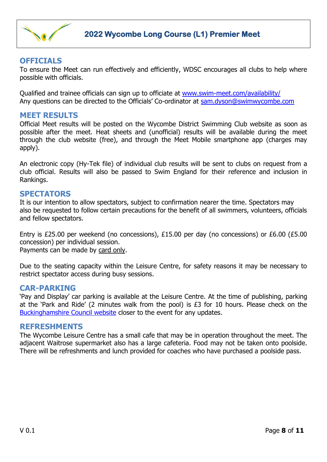

#### **OFFICIALS**

To ensure the Meet can run effectively and efficiently, WDSC encourages all clubs to help where possible with officials.

Qualified and trainee officials can sign up to officiate at [www.swim-meet.com/availability/](http://www.swim-meet.com/availability/) Any questions can be directed to the Officials' Co-ordinator at [sam.dyson@swimwycombe.com](mailto:sam.dyson@swimwycombe.com)

#### **MEET RESULTS**

Official Meet results will be posted on the Wycombe District Swimming Club website as soon as possible after the meet. Heat sheets and (unofficial) results will be available during the meet through the club website (free), and through the Meet Mobile smartphone app (charges may apply).

An electronic copy (Hy-Tek file) of individual club results will be sent to clubs on request from a club official. Results will also be passed to Swim England for their reference and inclusion in Rankings.

#### **SPECTATORS**

It is our intention to allow spectators, subject to confirmation nearer the time. Spectators may also be requested to follow certain precautions for the benefit of all swimmers, volunteers, officials and fellow spectators.

Entry is £25.00 per weekend (no concessions), £15.00 per day (no concessions) or £6.00 (£5.00 concession) per individual session.

Payments can be made by card only.

Due to the seating capacity within the Leisure Centre, for safety reasons it may be necessary to restrict spectator access during busy sessions.

#### **CAR-PARKING**

'Pay and Display' car parking is available at the Leisure Centre. At the time of publishing, parking at the 'Park and Ride' (2 minutes walk from the pool) is £3 for 10 hours. Please check on the [Buckinghamshire Council website](https://www.wycombe.gov.uk/pages/Parking-and-transport/Parking/High-Wycombe/Handy-Cross-Park-Ride-car-park.aspx) closer to the event for any updates.

#### **REFRESHMENTS**

The Wycombe Leisure Centre has a small cafe that may be in operation throughout the meet. The adjacent Waitrose supermarket also has a large cafeteria. Food may not be taken onto poolside. There will be refreshments and lunch provided for coaches who have purchased a poolside pass.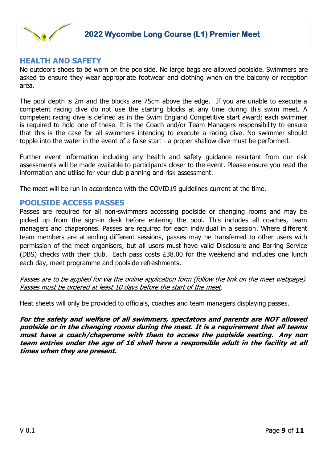

#### **HEALTH AND SAFETY**

No outdoors shoes to be worn on the poolside. No large bags are allowed poolside. Swimmers are asked to ensure they wear appropriate footwear and clothing when on the balcony or reception area.

The pool depth is 2m and the blocks are 75cm above the edge. If you are unable to execute a competent racing dive do not use the starting blocks at any time during this swim meet. A competent racing dive is defined as in the Swim England Competitive start award; each swimmer is required to hold one of these. It is the Coach and/or Team Managers responsibility to ensure that this is the case for all swimmers intending to execute a racing dive. No swimmer should topple into the water in the event of a false start - a proper shallow dive must be performed.

Further event information including any health and safety guidance resultant from our risk assessments will be made available to participants closer to the event. Please ensure you read the information and utilise for your club planning and risk assessment.

The meet will be run in accordance with the COVID19 guidelines current at the time.

#### **POOLSIDE ACCESS PASSES**

Passes are required for all non-swimmers accessing poolside or changing rooms and may be picked up from the sign-in desk before entering the pool. This includes all coaches, team managers and chaperones. Passes are required for each individual in a session. Where different team members are attending different sessions, passes may be transferred to other users with permission of the meet organisers, but all users must have valid Disclosure and Barring Service (DBS) checks with their club. Each pass costs £38.00 for the weekend and includes one lunch each day, meet programme and poolside refreshments.

Passes are to be applied for via the online application form (follow the link on the meet webpage). Passes must be ordered at least 10 days before the start of the meet.

Heat sheets will only be provided to officials, coaches and team managers displaying passes.

**For the safety and welfare of all swimmers, spectators and parents are NOT allowed poolside or in the changing rooms during the meet. It is a requirement that all teams must have a coach/chaperone with them to access the poolside seating. Any non team entries under the age of 16 shall have a responsible adult in the facility at all times when they are present.**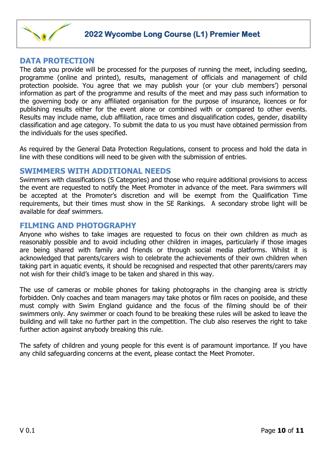

#### **DATA PROTECTION**

The data you provide will be processed for the purposes of running the meet, including seeding, programme (online and printed), results, management of officials and management of child protection poolside. You agree that we may publish your (or your club members') personal information as part of the programme and results of the meet and may pass such information to the governing body or any affiliated organisation for the purpose of insurance, licences or for publishing results either for the event alone or combined with or compared to other events. Results may include name, club affiliation, race times and disqualification codes, gender, disability classification and age category. To submit the data to us you must have obtained permission from the individuals for the uses specified.

As required by the General Data Protection Regulations, consent to process and hold the data in line with these conditions will need to be given with the submission of entries.

#### **SWIMMERS WITH ADDITIONAL NEEDS**

Swimmers with classifications (S Categories) and those who require additional provisions to access the event are requested to notify the Meet Promoter in advance of the meet. Para swimmers will be accepted at the Promoter's discretion and will be exempt from the Qualification Time requirements, but their times must show in the SE Rankings. A secondary strobe light will be available for deaf swimmers.

#### **FILMING AND PHOTOGRAPHY**

Anyone who wishes to take images are requested to focus on their own children as much as reasonably possible and to avoid including other children in images, particularly if those images are being shared with family and friends or through social media platforms. Whilst it is acknowledged that parents/carers wish to celebrate the achievements of their own children when taking part in aquatic events, it should be recognised and respected that other parents/carers may not wish for their child's image to be taken and shared in this way.

The use of cameras or mobile phones for taking photographs in the changing area is strictly forbidden. Only coaches and team managers may take photos or film races on poolside, and these must comply with Swim England guidance and the focus of the filming should be of their swimmers only. Any swimmer or coach found to be breaking these rules will be asked to leave the building and will take no further part in the competition. The club also reserves the right to take further action against anybody breaking this rule.

The safety of children and young people for this event is of paramount importance. If you have any child safeguarding concerns at the event, please contact the Meet Promoter.